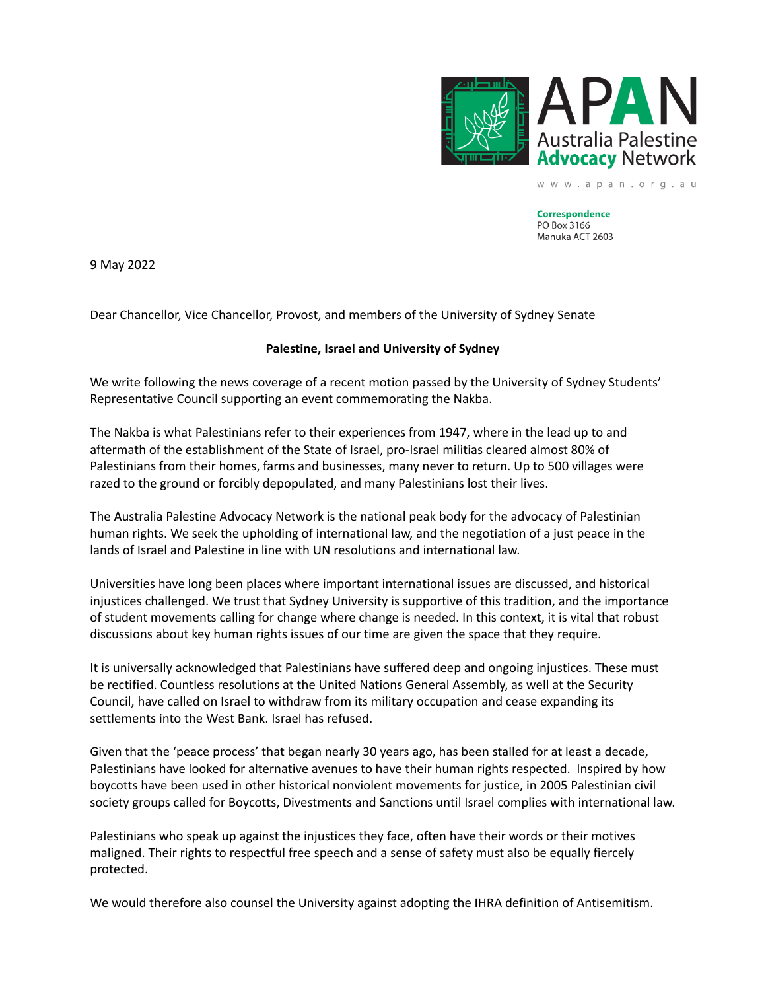

**Correspondence** PO Box 3166 Manuka ACT 2603

www.apan.org.au

9 May 2022

Dear Chancellor, Vice Chancellor, Provost, and members of the University of Sydney Senate

## **Palestine, Israel and University of Sydney**

We write following the news coverage of a recent motion passed by the University of Sydney Students' Representative Council supporting an event commemorating the Nakba.

The Nakba is what Palestinians refer to their experiences from 1947, where in the lead up to and aftermath of the establishment of the State of Israel, pro-Israel militias cleared almost 80% of Palestinians from their homes, farms and businesses, many never to return. Up to 500 villages were razed to the ground or forcibly depopulated, and many Palestinians lost their lives.

The Australia Palestine Advocacy Network is the national peak body for the advocacy of Palestinian human rights. We seek the upholding of international law, and the negotiation of a just peace in the lands of Israel and Palestine in line with UN resolutions and international law.

Universities have long been places where important international issues are discussed, and historical injustices challenged. We trust that Sydney University is supportive of this tradition, and the importance of student movements calling for change where change is needed. In this context, it is vital that robust discussions about key human rights issues of our time are given the space that they require.

It is universally acknowledged that Palestinians have suffered deep and ongoing injustices. These must be rectified. Countless resolutions at the United Nations General Assembly, as well at the Security Council, have called on Israel to withdraw from its military occupation and cease expanding its settlements into the West Bank. Israel has refused.

Given that the 'peace process' that began nearly 30 years ago, has been stalled for at least a decade, Palestinians have looked for alternative avenues to have their human rights respected. Inspired by how boycotts have been used in other historical nonviolent movements for justice, in 2005 Palestinian civil society groups called for Boycotts, Divestments and Sanctions until Israel complies with international law.

Palestinians who speak up against the injustices they face, often have their words or their motives maligned. Their rights to respectful free speech and a sense of safety must also be equally fiercely protected.

We would therefore also counsel the University against adopting the IHRA definition of Antisemitism.